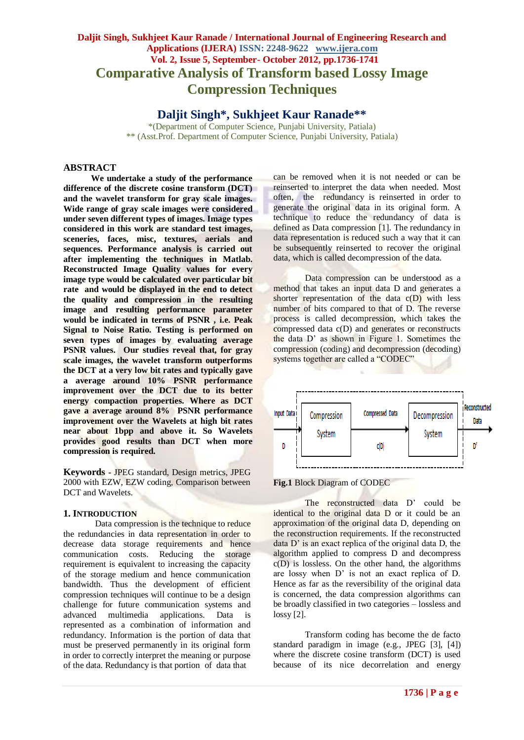# **Daljit Singh, Sukhjeet Kaur Ranade / International Journal of Engineering Research and Applications (IJERA) ISSN: 2248-9622 www.ijera.com Vol. 2, Issue 5, September- October 2012, pp.1736-1741 Comparative Analysis of Transform based Lossy Image Compression Techniques**

**Daljit Singh\*, Sukhjeet Kaur Ranade\*\***

\*(Department of Computer Science, Punjabi University, Patiala) \*\* (Asst.Prof. Department of Computer Science, Punjabi University, Patiala)

#### **ABSTRACT**

**We undertake a study of the performance difference of the discrete cosine transform (DCT) and the wavelet transform for gray scale images. Wide range of gray scale images were considered under seven different types of images. Image types considered in this work are standard test images, sceneries, faces, misc, textures, aerials and sequences. Performance analysis is carried out after implementing the techniques in Matlab. Reconstructed Image Quality values for every image type would be calculated over particular bit rate and would be displayed in the end to detect the quality and compression in the resulting image and resulting performance parameter would be indicated in terms of PSNR , i.e. Peak Signal to Noise Ratio. Testing is performed on seven types of images by evaluating average PSNR values. Our studies reveal that, for gray scale images, the wavelet transform outperforms the DCT at a very low bit rates and typically gave a average around 10% PSNR performance improvement over the DCT due to its better energy compaction properties. Where as DCT gave a average around 8% PSNR performance improvement over the Wavelets at high bit rates near about 1bpp and above it. So Wavelets provides good results than DCT when more compression is required.**

**Keywords -** JPEG standard, Design metrics, JPEG 2000 with EZW, EZW coding, Comparison between DCT and Wavelets.

#### **1. INTRODUCTION**

Data compression is the technique to reduce the redundancies in data representation in order to decrease data storage requirements and hence communication costs. Reducing the storage requirement is equivalent to increasing the capacity of the storage medium and hence communication bandwidth. Thus the development of efficient compression techniques will continue to be a design challenge for future communication systems and advanced multimedia applications. Data is represented as a combination of information and redundancy. Information is the portion of data that must be preserved permanently in its original form in order to correctly interpret the meaning or purpose of the data. Redundancy is that portion of data that

can be removed when it is not needed or can be reinserted to interpret the data when needed. Most often, the redundancy is reinserted in order to generate the original data in its original form. A technique to reduce the redundancy of data is defined as Data compression [1]. The redundancy in data representation is reduced such a way that it can be subsequently reinserted to recover the original data, which is called decompression of the data.

Data compression can be understood as a method that takes an input data D and generates a shorter representation of the data c(D) with less number of bits compared to that of D. The reverse process is called decompression, which takes the compressed data c(D) and generates or reconstructs the data D' as shown in Figure 1. Sometimes the compression (coding) and decompression (decoding) systems together are called a "CODEC"





The reconstructed data D' could be identical to the original data D or it could be an approximation of the original data D, depending on the reconstruction requirements. If the reconstructed data D' is an exact replica of the original data D, the algorithm applied to compress D and decompress c(D) is lossless. On the other hand, the algorithms are lossy when D' is not an exact replica of D. Hence as far as the reversibility of the original data is concerned, the data compression algorithms can be broadly classified in two categories – lossless and lossy [2].

Transform coding has become the de facto standard paradigm in image (e.g., JPEG [3], [4]) where the discrete cosine transform (DCT) is used because of its nice decorrelation and energy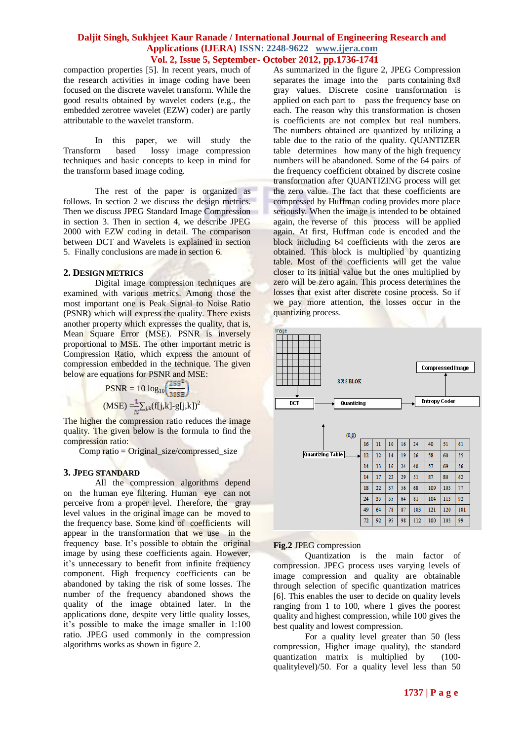compaction properties [5]. In recent years, much of the research activities in image coding have been focused on the discrete wavelet transform. While the good results obtained by wavelet coders (e.g., the embedded zerotree wavelet (EZW) coder) are partly attributable to the wavelet transform.

In this paper, we will study the Transform based lossy image compression techniques and basic concepts to keep in mind for the transform based image coding.

The rest of the paper is organized as follows. In section 2 we discuss the design metrics. Then we discuss JPEG Standard Image Compression in section 3. Then in section 4, we describe JPEG 2000 with EZW coding in detail. The comparison between DCT and Wavelets is explained in section 5. Finally conclusions are made in section 6.

#### **2. DESIGN METRICS**

Digital image compression techniques are examined with various metrics. Among those the most important one is Peak Signal to Noise Ratio (PSNR) which will express the quality. There exists another property which expresses the quality, that is, Mean Square Error (MSE). PSNR is inversely proportional to MSE. The other important metric is Compression Ratio, which express the amount of compression embedded in the technique. The given below are equations for PSNR and MSE:

$$
PSNR = 10 log_{10} \left(\frac{255^2}{MSE}\right)
$$

$$
(MSE) = \frac{1}{N} \sum_{j,k} (f[j,k]-g[j,k])^2
$$

The higher the compression ratio reduces the image quality. The given below is the formula to find the compression ratio:

 $Comp \; ratio = Original \; size/compressed \; size$ 

#### **3. JPEG STANDARD**

All the compression algorithms depend on the human eye filtering. Human eye can not perceive from a proper level. Therefore, the gray level values in the original image can be moved to the frequency base. Some kind of coefficients will appear in the transformation that we use in the frequency base. It's possible to obtain the original image by using these coefficients again. However, it's unnecessary to benefit from infinite frequency component. High frequency coefficients can be abandoned by taking the risk of some losses. The number of the frequency abandoned shows the quality of the image obtained later. In the applications done, despite very little quality losses, it's possible to make the image smaller in 1:100 ratio. JPEG used commonly in the compression algorithms works as shown in figure 2.

As summarized in the figure 2, JPEG Compression separates the image into the parts containing 8x8 gray values. Discrete cosine transformation is applied on each part to pass the frequency base on each. The reason why this transformation is chosen is coefficients are not complex but real numbers. The numbers obtained are quantized by utilizing a table due to the ratio of the quality. QUANTIZER table determines how many of the high frequency numbers will be abandoned. Some of the 64 pairs of the frequency coefficient obtained by discrete cosine transformation after QUANTIZING process will get the zero value. The fact that these coefficients are compressed by Huffman coding provides more place seriously. When the image is intended to be obtained again, the reverse of this process will be applied again. At first, Huffman code is encoded and the block including 64 coefficients with the zeros are obtained. This block is multiplied by quantizing table. Most of the coefficients will get the value closer to its initial value but the ones multiplied by zero will be zero again. This process determines the losses that exist after discrete cosine process. So if we pay more attention, the losses occur in the quantizing process.



#### **Fig.2** JPEG compression

Quantization is the main factor of compression. JPEG process uses varying levels of image compression and quality are obtainable through selection of specific quantization matrices [6]. This enables the user to decide on quality levels ranging from 1 to 100, where 1 gives the poorest quality and highest compression, while 100 gives the best quality and lowest compression.

For a quality level greater than 50 (less compression, Higher image quality), the standard quantization matrix is multiplied by (100 qualitylevel)/50. For a quality level less than 50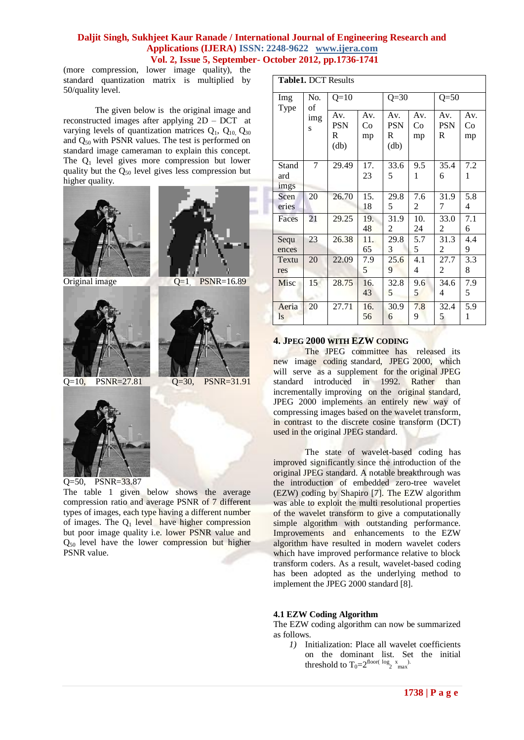(more compression, lower image quality), the standard quantization matrix is multiplied by 50/quality level.

The given below is the original image and reconstructed images after applying 2D – DCT at varying levels of quantization matrices  $Q_1$ ,  $Q_{10}$ ,  $Q_{30}$ and Q50 with PSNR values. The test is performed on standard image cameraman to explain this concept. The  $Q_1$  level gives more compression but lower quality but the  $Q_{50}$  level gives less compression but higher quality.



Q=50, PSNR=33.87

The table 1 given below shows the average compression ratio and average PSNR of 7 different types of images, each type having a different number of images. The  $Q_1$  level have higher compression but poor image quality i.e. lower PSNR value and  $Q_{50}$  level have the lower compression but higher PSNR value.

| <b>Table1. DCT Results</b> |                       |                                       |                 |                                |                 |                        |                 |
|----------------------------|-----------------------|---------------------------------------|-----------------|--------------------------------|-----------------|------------------------|-----------------|
| Img<br>Type                | No.<br>of<br>img<br>S | $Q=10$                                |                 | $Q = 30$                       |                 | $Q = 50$               |                 |
|                            |                       | Av.<br><b>PSN</b><br>R<br>$\text{db}$ | Av.<br>Co<br>mp | Av.<br><b>PSN</b><br>R<br>(db) | Av.<br>Co<br>mp | Av.<br><b>PSN</b><br>R | Av.<br>Co<br>mp |
| Stand<br>ard<br>imgs       | 7                     | 29.49                                 | 17.<br>23       | 33.6<br>5                      | 9.5<br>1        | 35.4<br>6              | 7.2<br>1        |
| Scen<br>eries              | 20                    | 26.70                                 | 15.<br>18       | 29.8<br>5                      | 7.6<br>2        | 31.9<br>7              | 5.8<br>4        |
| Faces                      | 21                    | 29.25                                 | 19.<br>48       | 31.9<br>2                      | 10.<br>24       | 33.0<br>2              | 7.1<br>6        |
| Sequ<br>ences              | 23                    | 26.38                                 | 11.<br>65       | 29.8<br>3                      | 5.7<br>5        | 31.3<br>2              | 4.4<br>9        |
| Textu<br>res               | 20                    | 22.09                                 | 7.9<br>5        | 25.6<br>9                      | 4.1<br>4        | 27.7<br>2              | 3.3<br>8        |
| Misc                       | 15                    | 28.75                                 | 16.<br>43       | 32.8<br>5                      | 9.6<br>5        | 34.6<br>4              | 7.9<br>5        |
| Aeria<br><sup>1s</sup>     | 20                    | 27.71                                 | 16.<br>56       | 30.9<br>6                      | 7.8<br>9        | 32.4<br>5              | 5.9<br>1        |

# **4. JPEG 2000 WITH EZW CODING**

The JPEG committee has released its new image coding standard, JPEG 2000, which will serve as a supplement for the original JPEG standard introduced in 1992. Rather than incrementally improving on the original standard, JPEG 2000 implements an entirely new way of compressing images based on the wavelet transform, in contrast to the discrete cosine transform (DCT) used in the original JPEG standard.

The state of wavelet-based coding has improved significantly since the introduction of the original JPEG standard. A notable breakthrough was the introduction of embedded zero-tree wavelet (EZW) coding by Shapiro [7]. The EZW algorithm was able to exploit the multi resolutional properties of the wavelet transform to give a computationally simple algorithm with outstanding performance. Improvements and enhancements to the EZW algorithm have resulted in modern wavelet coders which have improved performance relative to block transform coders. As a result, wavelet-based coding has been adopted as the underlying method to implement the JPEG 2000 standard [8].

# **4.1 EZW Coding Algorithm**

The EZW coding algorithm can now be summarized as follows.

*1)* Initialization: Place all wavelet coefficients on the dominant list. Set the initial threshold to  $T_0=2^{\text{floor}(\text{log}_2 x)}$  max.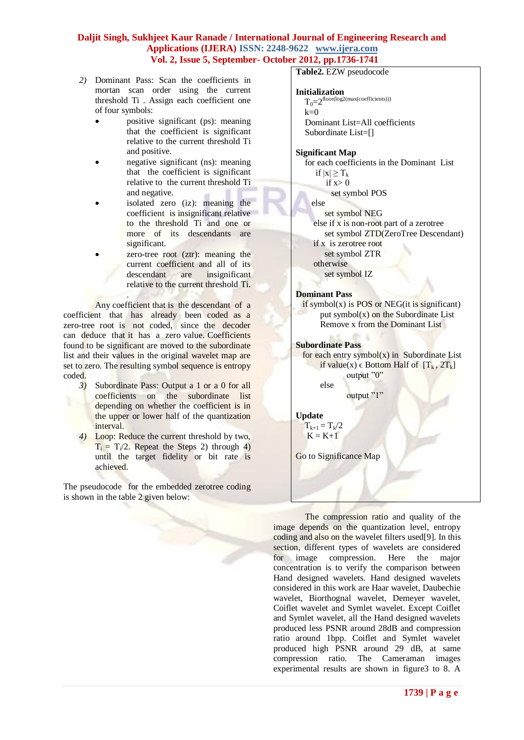- *2)* Dominant Pass: Scan the coefficients in mortan scan order using the current threshold Ti . Assign each coefficient one of four symbols:
	- positive significant (ps): meaning that the coefficient is significant relative to the current threshold Ti and positive.
	- negative significant (ns): meaning that the coefficient is significant relative to the current threshold Ti and negative.
	- isolated zero (iz): meaning the coefficient is insignificant relative to the threshold Ti and one or more of its descendants are significant.
	- zero-tree root (ztr): meaning the current coefficient and all of its descendant are insignificant relative to the current threshold Ti.

. Any coefficient that is the descendant of a coefficient that has already been coded as a zero-tree root is not coded, since the decoder can deduce that it has a zero value. Coefficients found to be significant are moved to the subordinate list and their values in the original wavelet map are set to zero. The resulting symbol sequence is entropy coded.

- *3)* Subordinate Pass: Output a 1 or a 0 for all coefficients on the subordinate list depending on whether the coefficient is in the upper or lower half of the quantization interval.
- *4)* Loop: Reduce the current threshold by two,  $T_i = T_i/2$ . Repeat the Steps 2) through 4) until the target fidelity or bit rate is achieved.

The pseudocode for the embedded zerotree coding is shown in the table 2 given below:

**Table2.** EZW pseudocode

#### **Initialization**

 $T_0=2$ floor(log2(max(coefficients)))  $k=0$  Dominant List=All coefficients Subordinate List=[]

# **Significant Map**

 for each coefficients in the Dominant List if  $|x| \geq T_k$ if  $x>0$ set symbol POS

else

 set symbol NEG else if x is non-root part of a zerotree set symbol ZTD(ZeroTree Descendant) if x is zerotree root set symbol ZTR otherwise set symbol IZ

# **Dominant Pass**

 $\overline{\text{if}}$  symbol(x) is POS or NEG(it is significant) put symbol $(x)$  on the Subordinate List **Remove x from the Dominant List** 

# **Subordinate Pass**

for each entry symbol $(x)$  in Subordinate List if value(x)  $\in$  Bottom Half of  $[T_k, 2T_k]$ output "0" else

output "1"

# **Update**

 $T_{k+1} = T_k/2$  $K = K+1$ 

Go to Significance Map

The compression ratio and quality of the image depends on the quantization level, entropy coding and also on the wavelet filters used[9]. In this section, different types of wavelets are considered for image compression. Here the major concentration is to verify the comparison between Hand designed wavelets. Hand designed wavelets considered in this work are Haar wavelet, Daubechie wavelet, Biorthognal wavelet, Demeyer wavelet, Coiflet wavelet and Symlet wavelet. Except Coiflet and Symlet wavelet, all the Hand designed wavelets produced less PSNR around 28dB and compression ratio around 1bpp. Coiflet and Symlet wavelet produced high PSNR around 29 dB, at same compression ratio. The Cameraman images experimental results are shown in figure3 to 8. A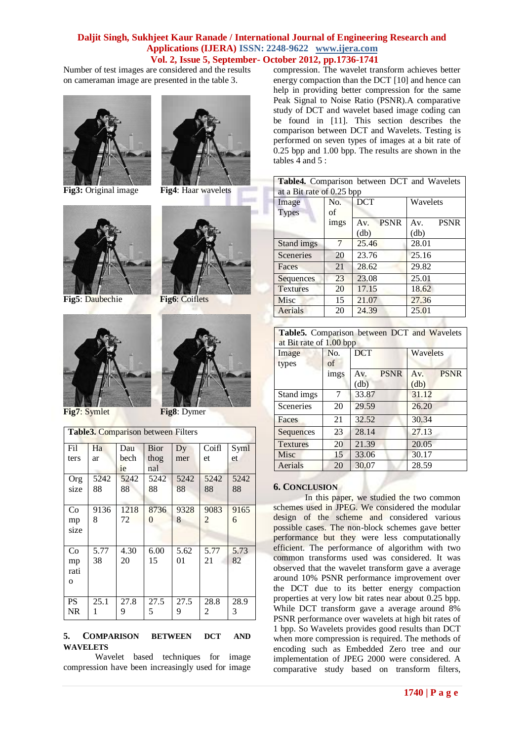Number of test images are considered and the results on cameraman image are presented in the table 3.



**Fig3:** Original image **Fig4**: Haar wavelets



**Fig5**: Daubechie **Fig6**: Coiflets



**Fig7**: Symlet **Fig8**: Dymer

| Table3. Comparison between Filters |      |      |          |      |       |      |
|------------------------------------|------|------|----------|------|-------|------|
| Fil                                | Ha   | Dau  | Bior     | Dy   | Coifl | Syml |
| ters                               | ar   | bech | thog     | mer  | et.   | et.  |
|                                    |      | ie   | nal      |      |       |      |
| Org                                | 5242 | 5242 | 5242     | 5242 | 5242  | 5242 |
| size                               | 88   | 88   | 88       | 88   | 88    | 88   |
|                                    |      |      |          |      |       |      |
| Co                                 | 9136 | 1218 | 8736     | 9328 | 9083  | 9165 |
| mp                                 | 8    | 72   | $\Omega$ | 8    | 2     | 6    |
| size                               |      |      |          |      |       |      |
|                                    |      |      |          |      |       |      |
| Co                                 | 5.77 | 4.30 | 6.00     | 5.62 | 5.77  | 5.73 |
| mp                                 | 38   | 20   | 15       | 01   | 21    | 82   |
| rati                               |      |      |          |      |       |      |
| $\mathbf{o}$                       |      |      |          |      |       |      |
|                                    |      |      |          |      |       |      |
| <b>PS</b>                          | 25.1 | 27.8 | 27.5     | 27.5 | 28.8  | 28.9 |
| NR                                 | 1    | 9    | 5        | 9    | 2     | 3    |
|                                    |      |      |          |      |       |      |

#### **5. COMPARISON BETWEEN DCT AND WAVELETS**

Wavelet based techniques for image compression have been increasingly used for image

compression. The wavelet transform achieves better energy compaction than the DCT [10] and hence can help in providing better compression for the same Peak Signal to Noise Ratio (PSNR).A comparative study of DCT and wavelet based image coding can be found in [11]. This section describes the comparison between DCT and Wavelets. Testing is performed on seven types of images at a bit rate of 0.25 bpp and 1.00 bpp. The results are shown in the tables  $\overline{4}$  and  $\overline{5}$ :

|                           |         |  | Table4. Comparison between DCT and Wavelets |  |  |  |
|---------------------------|---------|--|---------------------------------------------|--|--|--|
| at a Bit rate of 0.25 bpp |         |  |                                             |  |  |  |
| Image                     | No. DCT |  | <b>Wavelets</b>                             |  |  |  |

| mage            | INO. | DUI                | w avelets          |
|-----------------|------|--------------------|--------------------|
| <b>Types</b>    | οf   |                    |                    |
|                 | imgs | <b>PSNR</b><br>Av. | <b>PSNR</b><br>Av. |
|                 |      | (db)               | (db)               |
| Stand imgs      | 7    | 25.46              | 28.01              |
| Sceneries       | 20   | 23.76              | 25.16              |
| Faces           | 21   | 28.62              | 29.82              |
| Sequences       | 23   | 23.08              | 25.01              |
| <b>Textures</b> | 20   | 17.15              | 18.62              |
| Misc            | 15   | 21.07              | 27.36              |
| Aerials         | 20   | 24.39              | 25.01              |
|                 |      |                    |                    |

| Table5. Comparison between DCT and Wavelets<br>at Bit rate of 1.00 bpp |           |             |             |             |             |  |
|------------------------------------------------------------------------|-----------|-------------|-------------|-------------|-------------|--|
| Image<br>types                                                         | No.<br>of | <b>DCT</b>  |             | Wavelets    |             |  |
|                                                                        | imgs      | Av.<br>(db) | <b>PSNR</b> | Av.<br>(db) | <b>PSNR</b> |  |
| Stand imgs                                                             | 7         | 33.87       |             | 31.12       |             |  |
| Sceneries                                                              | 20        | 29.59       |             | 26.20       |             |  |
| Faces                                                                  | 21        | 32.52       |             | 30.34       |             |  |
| Sequences                                                              | 23        | 28.14       |             | 27.13       |             |  |
| <b>Textures</b>                                                        | 20        | 21.39       |             | 20.05       |             |  |
| Misc                                                                   | 15        | 33.06       |             | 30.17       |             |  |
| Aerials                                                                | 20        | 30.07       |             | 28.59       |             |  |

#### **6. CONCLUSION**

In this paper, we studied the two common schemes used in JPEG. We considered the modular design of the scheme and considered various possible cases. The non-block schemes gave better performance but they were less computationally efficient. The performance of algorithm with two common transforms used was considered. It was observed that the wavelet transform gave a average around 10% PSNR performance improvement over the DCT due to its better energy compaction properties at very low bit rates near about 0.25 bpp. While DCT transform gave a average around 8% PSNR performance over wavelets at high bit rates of 1 bpp. So Wavelets provides good results than DCT when more compression is required. The methods of encoding such as Embedded Zero tree and our implementation of JPEG 2000 were considered. A comparative study based on transform filters,